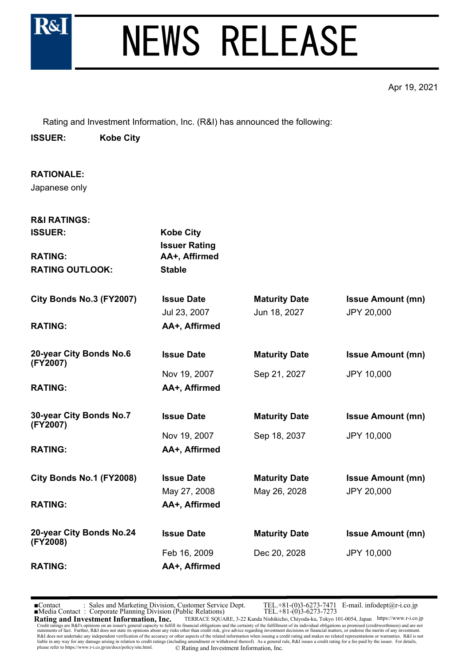

Apr 19, 2021

Rating and Investment Information, Inc. (R&I) has announced the following:

**ISSUER: Kobe City**

**RATIONALE:** Japanese only

| <b>R&amp;I RATINGS:</b>              |                                          |                      |                          |
|--------------------------------------|------------------------------------------|----------------------|--------------------------|
| <b>ISSUER:</b>                       | <b>Kobe City</b><br><b>Issuer Rating</b> |                      |                          |
| <b>RATING:</b>                       | AA+, Affirmed                            |                      |                          |
| <b>RATING OUTLOOK:</b>               | <b>Stable</b>                            |                      |                          |
| City Bonds No.3 (FY2007)             | <b>Issue Date</b>                        | <b>Maturity Date</b> | <b>Issue Amount (mn)</b> |
|                                      | Jul 23, 2007                             | Jun 18, 2027         | JPY 20,000               |
| <b>RATING:</b>                       | AA+, Affirmed                            |                      |                          |
| 20-year City Bonds No.6<br>(FY2007)  | <b>Issue Date</b>                        | <b>Maturity Date</b> | <b>Issue Amount (mn)</b> |
|                                      | Nov 19, 2007                             | Sep 21, 2027         | JPY 10,000               |
| <b>RATING:</b>                       | AA+, Affirmed                            |                      |                          |
| 30-year City Bonds No.7<br>(FY2007)  | <b>Issue Date</b>                        | <b>Maturity Date</b> | <b>Issue Amount (mn)</b> |
|                                      | Nov 19, 2007                             | Sep 18, 2037         | JPY 10,000               |
| <b>RATING:</b>                       | AA+, Affirmed                            |                      |                          |
| City Bonds No.1 (FY2008)             | <b>Issue Date</b>                        | <b>Maturity Date</b> | <b>Issue Amount (mn)</b> |
|                                      | May 27, 2008                             | May 26, 2028         | JPY 20,000               |
| <b>RATING:</b>                       | AA+, Affirmed                            |                      |                          |
| 20-year City Bonds No.24<br>(FY2008) | <b>Issue Date</b>                        | <b>Maturity Date</b> | <b>Issue Amount (mn)</b> |
|                                      | Feb 16, 2009                             | Dec 20, 2028         | JPY 10,000               |
| <b>RATING:</b>                       | AA+, Affirmed                            |                      |                          |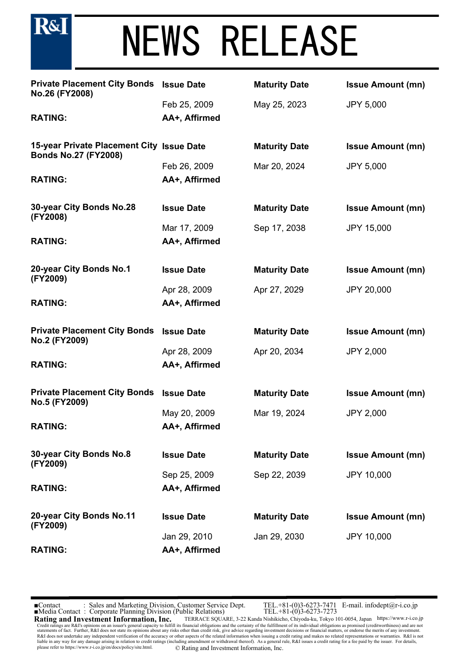

| <b>Private Placement City Bonds Issue Date</b><br>No.26 (FY2008)         |                               | <b>Maturity Date</b> | <b>Issue Amount (mn)</b> |
|--------------------------------------------------------------------------|-------------------------------|----------------------|--------------------------|
| <b>RATING:</b>                                                           | Feb 25, 2009<br>AA+, Affirmed | May 25, 2023         | <b>JPY 5,000</b>         |
|                                                                          |                               |                      |                          |
| 15-year Private Placement City Issue Date<br><b>Bonds No.27 (FY2008)</b> |                               | <b>Maturity Date</b> | <b>Issue Amount (mn)</b> |
|                                                                          | Feb 26, 2009                  | Mar 20, 2024         | <b>JPY 5,000</b>         |
| <b>RATING:</b>                                                           | AA+, Affirmed                 |                      |                          |
| 30-year City Bonds No.28<br>(FY2008)                                     | <b>Issue Date</b>             | <b>Maturity Date</b> | <b>Issue Amount (mn)</b> |
|                                                                          | Mar 17, 2009                  | Sep 17, 2038         | <b>JPY 15,000</b>        |
| <b>RATING:</b>                                                           | AA+, Affirmed                 |                      |                          |
| 20-year City Bonds No.1<br>(FY2009)                                      | <b>Issue Date</b>             | <b>Maturity Date</b> | <b>Issue Amount (mn)</b> |
|                                                                          | Apr 28, 2009                  | Apr 27, 2029         | JPY 20,000               |
| <b>RATING:</b>                                                           | AA+, Affirmed                 |                      |                          |
| <b>Private Placement City Bonds</b><br>No.2 (FY2009)                     | <b>Issue Date</b>             | <b>Maturity Date</b> | <b>Issue Amount (mn)</b> |
|                                                                          | Apr 28, 2009                  | Apr 20, 2034         | <b>JPY 2,000</b>         |
| <b>RATING:</b>                                                           | AA+, Affirmed                 |                      |                          |
| <b>Private Placement City Bonds</b><br>No.5 (FY2009)                     | <b>Issue Date</b>             | <b>Maturity Date</b> | <b>Issue Amount (mn)</b> |
|                                                                          | May 20, 2009                  | Mar 19, 2024         | <b>JPY 2,000</b>         |
| <b>RATING:</b>                                                           | AA+, Affirmed                 |                      |                          |
| 30-year City Bonds No.8<br>(FY2009)                                      | <b>Issue Date</b>             | <b>Maturity Date</b> | <b>Issue Amount (mn)</b> |
|                                                                          | Sep 25, 2009                  | Sep 22, 2039         | <b>JPY 10,000</b>        |
| <b>RATING:</b>                                                           | AA+, Affirmed                 |                      |                          |
| 20-year City Bonds No.11<br>(FY2009)                                     | <b>Issue Date</b>             | <b>Maturity Date</b> | <b>Issue Amount (mn)</b> |
|                                                                          | Jan 29, 2010                  | Jan 29, 2030         | <b>JPY 10,000</b>        |
| <b>RATING:</b>                                                           | AA+, Affirmed                 |                      |                          |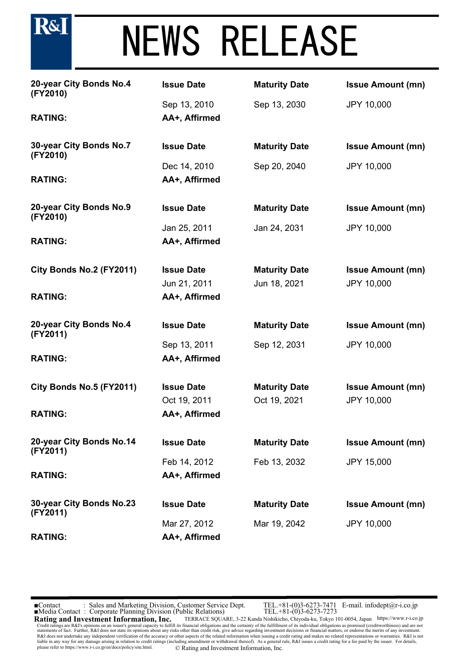# NEWS RELEASE

| 20-year City Bonds No.4<br>(FY2010)  | <b>Issue Date</b> | <b>Maturity Date</b> | <b>Issue Amount (mn)</b> |
|--------------------------------------|-------------------|----------------------|--------------------------|
|                                      | Sep 13, 2010      | Sep 13, 2030         | JPY 10,000               |
| <b>RATING:</b>                       | AA+, Affirmed     |                      |                          |
| 30-year City Bonds No.7<br>(FY2010)  | <b>Issue Date</b> | <b>Maturity Date</b> | <b>Issue Amount (mn)</b> |
|                                      | Dec 14, 2010      | Sep 20, 2040         | <b>JPY 10,000</b>        |
| <b>RATING:</b>                       | AA+, Affirmed     |                      |                          |
| 20-year City Bonds No.9<br>(FY2010)  | <b>Issue Date</b> | <b>Maturity Date</b> | <b>Issue Amount (mn)</b> |
|                                      | Jan 25, 2011      | Jan 24, 2031         | <b>JPY 10,000</b>        |
| <b>RATING:</b>                       | AA+, Affirmed     |                      |                          |
| City Bonds No.2 (FY2011)             | <b>Issue Date</b> | <b>Maturity Date</b> | <b>Issue Amount (mn)</b> |
|                                      | Jun 21, 2011      | Jun 18, 2021         | JPY 10,000               |
| <b>RATING:</b>                       | AA+, Affirmed     |                      |                          |
| 20-year City Bonds No.4<br>(FY2011)  | <b>Issue Date</b> | <b>Maturity Date</b> | <b>Issue Amount (mn)</b> |
|                                      | Sep 13, 2011      | Sep 12, 2031         | <b>JPY 10,000</b>        |
| <b>RATING:</b>                       | AA+, Affirmed     |                      |                          |
| City Bonds No.5 (FY2011)             | <b>Issue Date</b> | <b>Maturity Date</b> | <b>Issue Amount (mn)</b> |
|                                      | Oct 19, 2011      | Oct 19, 2021         | JPY 10,000               |
| <b>RATING:</b>                       | AA+, Affirmed     |                      |                          |
| 20-year City Bonds No.14<br>(FY2011) | <b>Issue Date</b> | <b>Maturity Date</b> | <b>Issue Amount (mn)</b> |
|                                      | Feb 14, 2012      | Feb 13, 2032         | <b>JPY 15,000</b>        |
| <b>RATING:</b>                       | AA+, Affirmed     |                      |                          |
| 30-year City Bonds No.23<br>(FY2011) | <b>Issue Date</b> | <b>Maturity Date</b> | <b>Issue Amount (mn)</b> |
|                                      | Mar 27, 2012      | Mar 19, 2042         | <b>JPY 10,000</b>        |
| <b>RATING:</b>                       | AA+, Affirmed     |                      |                          |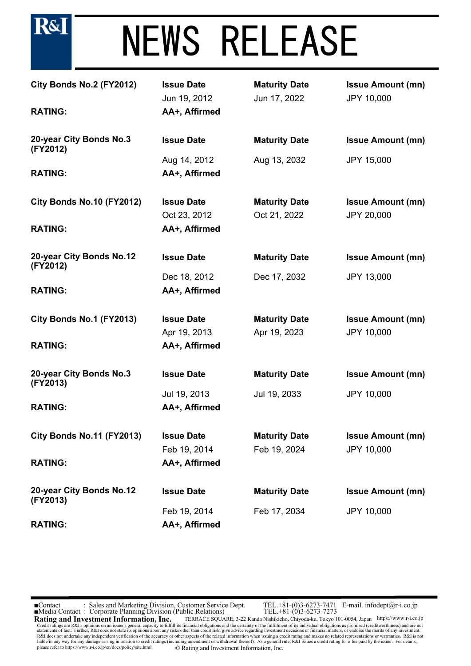

| City Bonds No.2 (FY2012)<br><b>RATING:</b> | <b>Issue Date</b><br>Jun 19, 2012<br>AA+, Affirmed | <b>Maturity Date</b><br>Jun 17, 2022 | <b>Issue Amount (mn)</b><br>JPY 10,000 |
|--------------------------------------------|----------------------------------------------------|--------------------------------------|----------------------------------------|
| 20-year City Bonds No.3<br>(FY2012)        | <b>Issue Date</b>                                  | <b>Maturity Date</b>                 | <b>Issue Amount (mn)</b>               |
|                                            | Aug 14, 2012                                       | Aug 13, 2032                         | <b>JPY 15,000</b>                      |
| <b>RATING:</b>                             | AA+, Affirmed                                      |                                      |                                        |
| City Bonds No.10 (FY2012)                  | <b>Issue Date</b>                                  | <b>Maturity Date</b>                 | <b>Issue Amount (mn)</b>               |
|                                            | Oct 23, 2012                                       | Oct 21, 2022                         | <b>JPY 20,000</b>                      |
| <b>RATING:</b>                             | AA+, Affirmed                                      |                                      |                                        |
| 20-year City Bonds No.12<br>(FY2012)       | <b>Issue Date</b>                                  | <b>Maturity Date</b>                 | <b>Issue Amount (mn)</b>               |
|                                            | Dec 18, 2012                                       | Dec 17, 2032                         | <b>JPY 13,000</b>                      |
| <b>RATING:</b>                             | AA+, Affirmed                                      |                                      |                                        |
| City Bonds No.1 (FY2013)                   | <b>Issue Date</b>                                  | <b>Maturity Date</b>                 | <b>Issue Amount (mn)</b>               |
|                                            | Apr 19, 2013                                       | Apr 19, 2023                         | JPY 10,000                             |
| <b>RATING:</b>                             | AA+, Affirmed                                      |                                      |                                        |
| 20-year City Bonds No.3<br>(FY2013)        | <b>Issue Date</b>                                  | <b>Maturity Date</b>                 | <b>Issue Amount (mn)</b>               |
|                                            | Jul 19, 2013                                       | Jul 19, 2033                         | <b>JPY 10,000</b>                      |
| <b>RATING:</b>                             | AA+, Affirmed                                      |                                      |                                        |
| City Bonds No.11 (FY2013)                  | <b>Issue Date</b>                                  | <b>Maturity Date</b>                 | <b>Issue Amount (mn)</b>               |
|                                            | Feb 19, 2014                                       | Feb 19, 2024                         | JPY 10,000                             |
| <b>RATING:</b>                             | AA+, Affirmed                                      |                                      |                                        |
| 20-year City Bonds No.12<br>(FY2013)       | <b>Issue Date</b>                                  | <b>Maturity Date</b>                 | <b>Issue Amount (mn)</b>               |
|                                            | Feb 19, 2014                                       | Feb 17, 2034                         | JPY 10,000                             |
| <b>RATING:</b>                             | AA+, Affirmed                                      |                                      |                                        |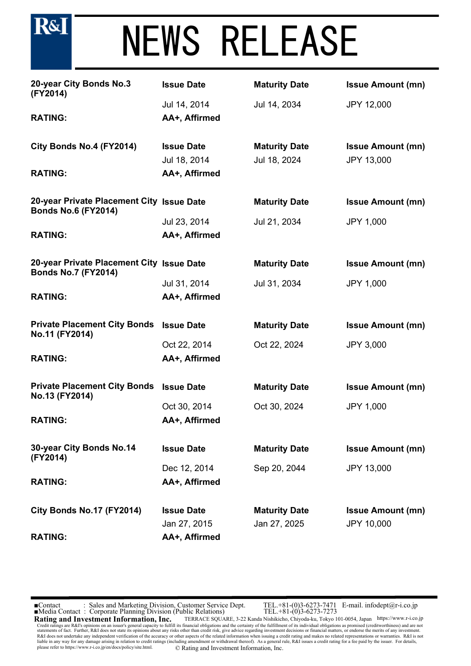## NEWS RELEASE

| 20-year City Bonds No.3<br>(FY2014)                                     | <b>Issue Date</b> | <b>Maturity Date</b> | <b>Issue Amount (mn)</b> |
|-------------------------------------------------------------------------|-------------------|----------------------|--------------------------|
|                                                                         | Jul 14, 2014      | Jul 14, 2034         | <b>JPY 12,000</b>        |
| <b>RATING:</b>                                                          | AA+, Affirmed     |                      |                          |
| City Bonds No.4 (FY2014)                                                | <b>Issue Date</b> | <b>Maturity Date</b> | <b>Issue Amount (mn)</b> |
|                                                                         | Jul 18, 2014      | Jul 18, 2024         | JPY 13,000               |
| <b>RATING:</b>                                                          | AA+, Affirmed     |                      |                          |
| 20-year Private Placement City Issue Date<br><b>Bonds No.6 (FY2014)</b> |                   | <b>Maturity Date</b> | <b>Issue Amount (mn)</b> |
|                                                                         | Jul 23, 2014      | Jul 21, 2034         | <b>JPY 1,000</b>         |
| <b>RATING:</b>                                                          | AA+, Affirmed     |                      |                          |
| 20-year Private Placement City Issue Date<br><b>Bonds No.7 (FY2014)</b> |                   | <b>Maturity Date</b> | <b>Issue Amount (mn)</b> |
|                                                                         | Jul 31, 2014      | Jul 31, 2034         | <b>JPY 1,000</b>         |
| <b>RATING:</b>                                                          | AA+, Affirmed     |                      |                          |
| <b>Private Placement City Bonds</b><br>No.11 (FY2014)                   | <b>Issue Date</b> | <b>Maturity Date</b> | <b>Issue Amount (mn)</b> |
|                                                                         | Oct 22, 2014      | Oct 22, 2024         | <b>JPY 3,000</b>         |
| <b>RATING:</b>                                                          | AA+, Affirmed     |                      |                          |
| <b>Private Placement City Bonds</b><br>No.13 (FY2014)                   | <b>Issue Date</b> | <b>Maturity Date</b> | <b>Issue Amount (mn)</b> |
|                                                                         | Oct 30, 2014      | Oct 30, 2024         | <b>JPY 1,000</b>         |
| <b>RATING:</b>                                                          | AA+, Affirmed     |                      |                          |
| 30-year City Bonds No.14<br>(FY2014)                                    | <b>Issue Date</b> | <b>Maturity Date</b> | <b>Issue Amount (mn)</b> |
|                                                                         | Dec 12, 2014      | Sep 20, 2044         | <b>JPY 13,000</b>        |
| <b>RATING:</b>                                                          | AA+, Affirmed     |                      |                          |
| City Bonds No.17 (FY2014)                                               | <b>Issue Date</b> | <b>Maturity Date</b> | <b>Issue Amount (mn)</b> |
|                                                                         | Jan 27, 2015      | Jan 27, 2025         | <b>JPY 10,000</b>        |
| <b>RATING:</b>                                                          | AA+, Affirmed     |                      |                          |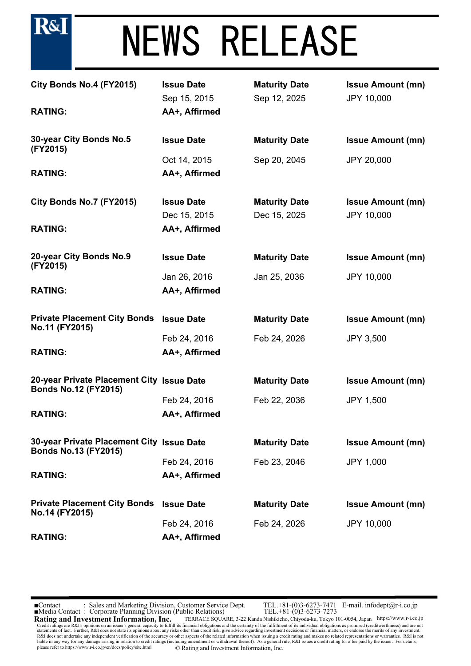

| City Bonds No.4 (FY2015)<br><b>RATING:</b>                               | <b>Issue Date</b><br>Sep 15, 2015<br>AA+, Affirmed | <b>Maturity Date</b><br>Sep 12, 2025 | <b>Issue Amount (mn)</b><br>JPY 10,000        |
|--------------------------------------------------------------------------|----------------------------------------------------|--------------------------------------|-----------------------------------------------|
| 30-year City Bonds No.5<br>(FY2015)                                      | <b>Issue Date</b>                                  | <b>Maturity Date</b>                 | <b>Issue Amount (mn)</b>                      |
|                                                                          | Oct 14, 2015                                       | Sep 20, 2045                         | <b>JPY 20,000</b>                             |
| <b>RATING:</b>                                                           | AA+, Affirmed                                      |                                      |                                               |
| City Bonds No.7 (FY2015)                                                 | <b>Issue Date</b><br>Dec 15, 2015                  | <b>Maturity Date</b><br>Dec 15, 2025 | <b>Issue Amount (mn)</b><br><b>JPY 10,000</b> |
| <b>RATING:</b>                                                           | AA+, Affirmed                                      |                                      |                                               |
| 20-year City Bonds No.9<br>(FY2015)                                      | <b>Issue Date</b>                                  | <b>Maturity Date</b>                 | <b>Issue Amount (mn)</b>                      |
|                                                                          | Jan 26, 2016                                       | Jan 25, 2036                         | <b>JPY 10,000</b>                             |
| <b>RATING:</b>                                                           | AA+, Affirmed                                      |                                      |                                               |
| <b>Private Placement City Bonds</b><br>No.11 (FY2015)                    | <b>Issue Date</b>                                  | <b>Maturity Date</b>                 | <b>Issue Amount (mn)</b>                      |
|                                                                          | Feb 24, 2016                                       | Feb 24, 2026                         | <b>JPY 3,500</b>                              |
| <b>RATING:</b>                                                           | AA+, Affirmed                                      |                                      |                                               |
| 20-year Private Placement City Issue Date<br><b>Bonds No.12 (FY2015)</b> |                                                    | <b>Maturity Date</b>                 | <b>Issue Amount (mn)</b>                      |
|                                                                          | Feb 24, 2016                                       | Feb 22, 2036                         | <b>JPY 1,500</b>                              |
| <b>RATING:</b>                                                           | AA+, Affirmed                                      |                                      |                                               |
| 30-year Private Placement City Issue Date<br><b>Bonds No.13 (FY2015)</b> |                                                    | <b>Maturity Date</b>                 | <b>Issue Amount (mn)</b>                      |
|                                                                          | Feb 24, 2016                                       | Feb 23, 2046                         | <b>JPY 1,000</b>                              |
| <b>RATING:</b>                                                           | AA+, Affirmed                                      |                                      |                                               |
| <b>Private Placement City Bonds</b><br>No.14 (FY2015)                    | <b>Issue Date</b>                                  | <b>Maturity Date</b>                 | <b>Issue Amount (mn)</b>                      |
|                                                                          | Feb 24, 2016                                       | Feb 24, 2026                         | <b>JPY 10,000</b>                             |
| <b>RATING:</b>                                                           | AA+, Affirmed                                      |                                      |                                               |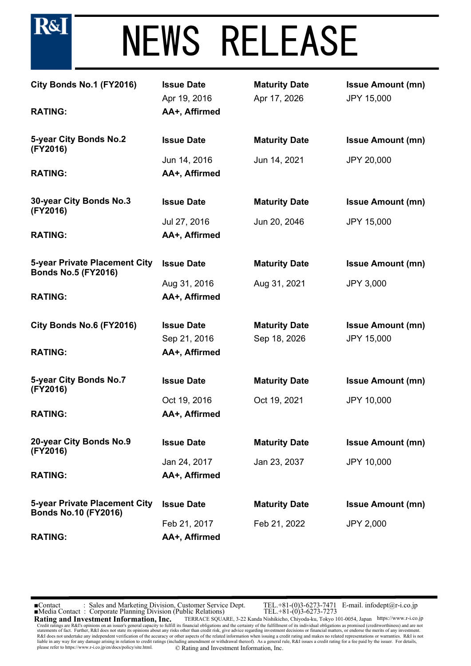

| City Bonds No.1 (FY2016)<br><b>RATING:</b>                   | <b>Issue Date</b><br>Apr 19, 2016<br>AA+, Affirmed | <b>Maturity Date</b><br>Apr 17, 2026 | <b>Issue Amount (mn)</b><br><b>JPY 15,000</b> |
|--------------------------------------------------------------|----------------------------------------------------|--------------------------------------|-----------------------------------------------|
| 5-year City Bonds No.2<br>(FY2016)                           | <b>Issue Date</b>                                  | <b>Maturity Date</b>                 | <b>Issue Amount (mn)</b>                      |
| <b>RATING:</b>                                               | Jun 14, 2016<br>AA+, Affirmed                      | Jun 14, 2021                         | <b>JPY 20,000</b>                             |
| 30-year City Bonds No.3<br>(FY2016)                          | <b>Issue Date</b>                                  | <b>Maturity Date</b>                 | <b>Issue Amount (mn)</b>                      |
| <b>RATING:</b>                                               | Jul 27, 2016<br>AA+, Affirmed                      | Jun 20, 2046                         | <b>JPY 15,000</b>                             |
| 5-year Private Placement City<br><b>Bonds No.5 (FY2016)</b>  | <b>Issue Date</b>                                  | <b>Maturity Date</b>                 | <b>Issue Amount (mn)</b>                      |
| <b>RATING:</b>                                               | Aug 31, 2016<br>AA+, Affirmed                      | Aug 31, 2021                         | <b>JPY 3,000</b>                              |
| City Bonds No.6 (FY2016)                                     | <b>Issue Date</b>                                  | <b>Maturity Date</b>                 | <b>Issue Amount (mn)</b>                      |
| <b>RATING:</b>                                               | Sep 21, 2016<br>AA+, Affirmed                      | Sep 18, 2026                         | <b>JPY 15,000</b>                             |
| 5-year City Bonds No.7<br>(FY2016)                           | <b>Issue Date</b>                                  | <b>Maturity Date</b>                 | <b>Issue Amount (mn)</b>                      |
| <b>RATING:</b>                                               | Oct 19, 2016<br>AA+, Affirmed                      | Oct 19, 2021                         | <b>JPY 10,000</b>                             |
| 20-year City Bonds No.9<br>(FY2016)                          | <b>Issue Date</b>                                  | <b>Maturity Date</b>                 | <b>Issue Amount (mn)</b>                      |
| <b>RATING:</b>                                               | Jan 24, 2017<br>AA+, Affirmed                      | Jan 23, 2037                         | <b>JPY 10,000</b>                             |
| 5-year Private Placement City<br><b>Bonds No.10 (FY2016)</b> | <b>Issue Date</b>                                  | <b>Maturity Date</b>                 | <b>Issue Amount (mn)</b>                      |
| <b>RATING:</b>                                               | Feb 21, 2017<br>AA+, Affirmed                      | Feb 21, 2022                         | <b>JPY 2,000</b>                              |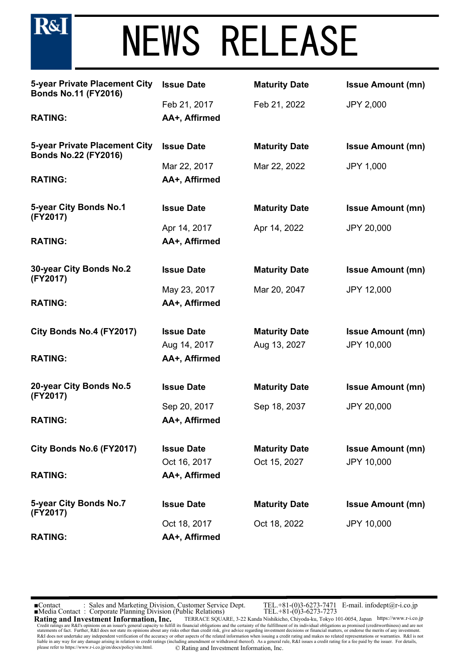

| 5-year Private Placement City<br><b>Bonds No.11 (FY2016)</b>        | <b>Issue Date</b>             | <b>Maturity Date</b> | <b>Issue Amount (mn)</b> |
|---------------------------------------------------------------------|-------------------------------|----------------------|--------------------------|
| <b>RATING:</b>                                                      | Feb 21, 2017<br>AA+, Affirmed | Feb 21, 2022         | <b>JPY 2,000</b>         |
|                                                                     |                               |                      |                          |
| <b>5-year Private Placement City</b><br><b>Bonds No.22 (FY2016)</b> | <b>Issue Date</b>             | <b>Maturity Date</b> | <b>Issue Amount (mn)</b> |
|                                                                     | Mar 22, 2017                  | Mar 22, 2022         | <b>JPY 1,000</b>         |
| <b>RATING:</b>                                                      | AA+, Affirmed                 |                      |                          |
| 5-year City Bonds No.1<br>(FY2017)                                  | <b>Issue Date</b>             | <b>Maturity Date</b> | <b>Issue Amount (mn)</b> |
|                                                                     | Apr 14, 2017                  | Apr 14, 2022         | JPY 20,000               |
| <b>RATING:</b>                                                      | AA+, Affirmed                 |                      |                          |
| 30-year City Bonds No.2<br>(FY2017)                                 | <b>Issue Date</b>             | <b>Maturity Date</b> | <b>Issue Amount (mn)</b> |
|                                                                     | May 23, 2017                  | Mar 20, 2047         | <b>JPY 12,000</b>        |
| <b>RATING:</b>                                                      | AA+, Affirmed                 |                      |                          |
| City Bonds No.4 (FY2017)                                            | <b>Issue Date</b>             | <b>Maturity Date</b> | <b>Issue Amount (mn)</b> |
|                                                                     | Aug 14, 2017                  | Aug 13, 2027         | JPY 10,000               |
| <b>RATING:</b>                                                      | AA+, Affirmed                 |                      |                          |
| 20-year City Bonds No.5<br>(FY2017)                                 | <b>Issue Date</b>             | <b>Maturity Date</b> | <b>Issue Amount (mn)</b> |
|                                                                     | Sep 20, 2017                  | Sep 18, 2037         | JPY 20,000               |
| <b>RATING:</b>                                                      | AA+, Affirmed                 |                      |                          |
| City Bonds No.6 (FY2017)                                            | <b>Issue Date</b>             | <b>Maturity Date</b> | <b>Issue Amount (mn)</b> |
|                                                                     | Oct 16, 2017                  | Oct 15, 2027         | JPY 10,000               |
| <b>RATING:</b>                                                      | AA+, Affirmed                 |                      |                          |
| 5-year City Bonds No.7<br>(FY2017)                                  | <b>Issue Date</b>             | <b>Maturity Date</b> | <b>Issue Amount (mn)</b> |
|                                                                     | Oct 18, 2017                  | Oct 18, 2022         | <b>JPY 10,000</b>        |
| <b>RATING:</b>                                                      | AA+, Affirmed                 |                      |                          |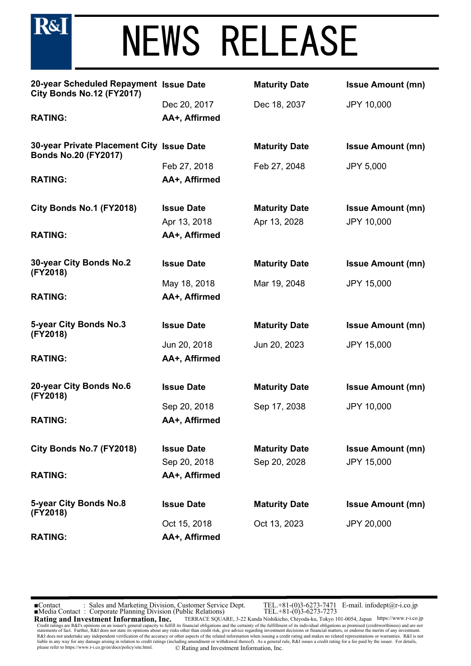**R&I** 

| 20-year Scheduled Repayment Issue Date<br>City Bonds No.12 (FY2017)      |                   | <b>Maturity Date</b> | <b>Issue Amount (mn)</b> |
|--------------------------------------------------------------------------|-------------------|----------------------|--------------------------|
|                                                                          | Dec 20, 2017      | Dec 18, 2037         | <b>JPY 10,000</b>        |
| <b>RATING:</b>                                                           | AA+, Affirmed     |                      |                          |
| 30-year Private Placement City Issue Date<br><b>Bonds No.20 (FY2017)</b> |                   | <b>Maturity Date</b> | <b>Issue Amount (mn)</b> |
|                                                                          | Feb 27, 2018      | Feb 27, 2048         | <b>JPY 5,000</b>         |
| <b>RATING:</b>                                                           | AA+, Affirmed     |                      |                          |
| City Bonds No.1 (FY2018)                                                 | <b>Issue Date</b> | <b>Maturity Date</b> | <b>Issue Amount (mn)</b> |
|                                                                          | Apr 13, 2018      | Apr 13, 2028         | <b>JPY 10,000</b>        |
| <b>RATING:</b>                                                           | AA+, Affirmed     |                      |                          |
| 30-year City Bonds No.2<br>(FY2018)                                      | <b>Issue Date</b> | <b>Maturity Date</b> | <b>Issue Amount (mn)</b> |
|                                                                          | May 18, 2018      | Mar 19, 2048         | <b>JPY 15,000</b>        |
| <b>RATING:</b>                                                           | AA+, Affirmed     |                      |                          |
| 5-year City Bonds No.3<br>(FY2018)                                       | <b>Issue Date</b> | <b>Maturity Date</b> | <b>Issue Amount (mn)</b> |
|                                                                          | Jun 20, 2018      | Jun 20, 2023         | <b>JPY 15,000</b>        |
| <b>RATING:</b>                                                           | AA+, Affirmed     |                      |                          |
| 20-year City Bonds No.6<br>(FY2018)                                      | <b>Issue Date</b> | <b>Maturity Date</b> | <b>Issue Amount (mn)</b> |
|                                                                          | Sep 20, 2018      | Sep 17, 2038         | <b>JPY 10,000</b>        |
| <b>RATING:</b>                                                           | AA+, Affirmed     |                      |                          |
| City Bonds No.7 (FY2018)                                                 | <b>Issue Date</b> | <b>Maturity Date</b> | <b>Issue Amount (mn)</b> |
|                                                                          | Sep 20, 2018      | Sep 20, 2028         | <b>JPY 15,000</b>        |
| <b>RATING:</b>                                                           | AA+, Affirmed     |                      |                          |
| 5-year City Bonds No.8<br>(FY2018)                                       | <b>Issue Date</b> | <b>Maturity Date</b> | <b>Issue Amount (mn)</b> |
|                                                                          | Oct 15, 2018      | Oct 13, 2023         | <b>JPY 20,000</b>        |
| <b>RATING:</b>                                                           | AA+, Affirmed     |                      |                          |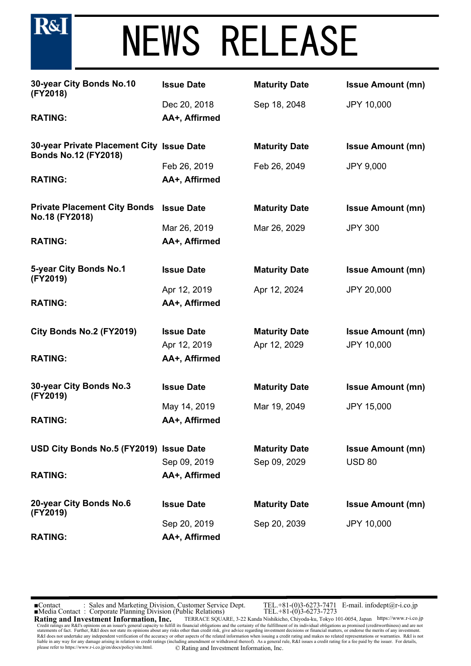| 30-year City Bonds No.10<br>(FY2018)                                     | <b>Issue Date</b> | <b>Maturity Date</b> | <b>Issue Amount (mn)</b> |
|--------------------------------------------------------------------------|-------------------|----------------------|--------------------------|
|                                                                          | Dec 20, 2018      | Sep 18, 2048         | JPY 10,000               |
| <b>RATING:</b>                                                           | AA+, Affirmed     |                      |                          |
| 30-year Private Placement City Issue Date<br><b>Bonds No.12 (FY2018)</b> |                   | <b>Maturity Date</b> | <b>Issue Amount (mn)</b> |
|                                                                          | Feb 26, 2019      | Feb 26, 2049         | <b>JPY 9,000</b>         |
| <b>RATING:</b>                                                           | AA+, Affirmed     |                      |                          |
| <b>Private Placement City Bonds</b><br>No.18 (FY2018)                    | <b>Issue Date</b> | <b>Maturity Date</b> | <b>Issue Amount (mn)</b> |
|                                                                          | Mar 26, 2019      | Mar 26, 2029         | <b>JPY 300</b>           |
| <b>RATING:</b>                                                           | AA+, Affirmed     |                      |                          |
| 5-year City Bonds No.1<br>(FY2019)                                       | <b>Issue Date</b> | <b>Maturity Date</b> | <b>Issue Amount (mn)</b> |
|                                                                          | Apr 12, 2019      | Apr 12, 2024         | <b>JPY 20,000</b>        |
| <b>RATING:</b>                                                           | AA+, Affirmed     |                      |                          |
| City Bonds No.2 (FY2019)                                                 | <b>Issue Date</b> | <b>Maturity Date</b> | <b>Issue Amount (mn)</b> |
|                                                                          | Apr 12, 2019      | Apr 12, 2029         | JPY 10,000               |
| <b>RATING:</b>                                                           | AA+, Affirmed     |                      |                          |
| 30-year City Bonds No.3<br>(FY2019)                                      | <b>Issue Date</b> | <b>Maturity Date</b> | <b>Issue Amount (mn)</b> |
|                                                                          | May 14, 2019      | Mar 19, 2049         | <b>JPY 15,000</b>        |
| <b>RATING:</b>                                                           | AA+, Affirmed     |                      |                          |
| USD City Bonds No.5 (FY2019) Issue Date                                  |                   | <b>Maturity Date</b> | <b>Issue Amount (mn)</b> |
|                                                                          | Sep 09, 2019      | Sep 09, 2029         | <b>USD 80</b>            |
| <b>RATING:</b>                                                           | AA+, Affirmed     |                      |                          |
| 20-year City Bonds No.6<br>(FY2019)                                      | <b>Issue Date</b> | <b>Maturity Date</b> | <b>Issue Amount (mn)</b> |
|                                                                          | Sep 20, 2019      | Sep 20, 2039         | <b>JPY 10,000</b>        |
| <b>RATING:</b>                                                           | AA+, Affirmed     |                      |                          |